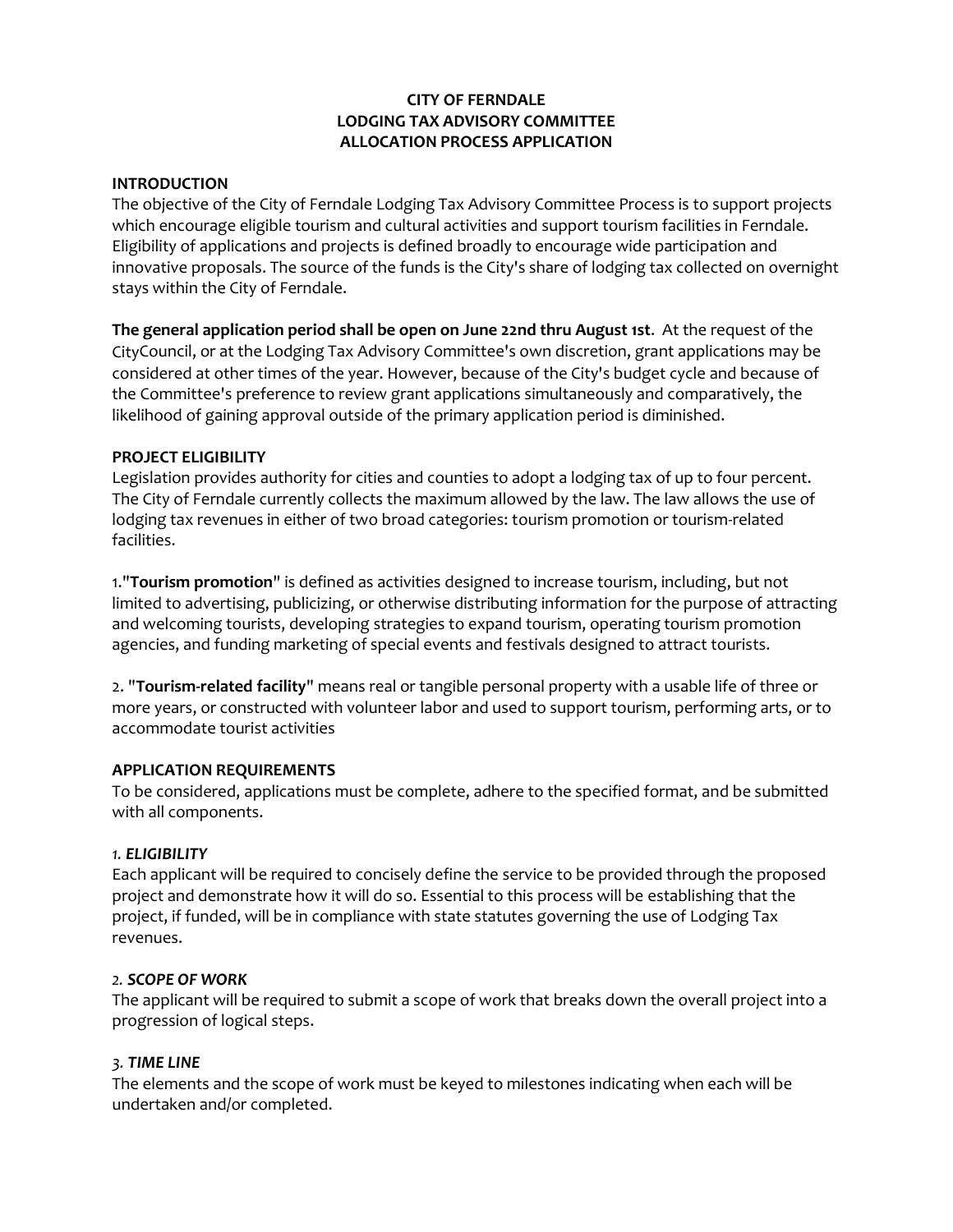### **CITY OF FERNDALE LODGING TAX ADVISORY COMMITTEE ALLOCATION PROCESS APPLICATION**

### **INTRODUCTION**

The objective of the City of Ferndale Lodging Tax Advisory Committee Process is to support projects which encourage eligible tourism and cultural activities and support tourism facilities in Ferndale. Eligibility of applications and projects is defined broadly to encourage wide participation and innovative proposals. The source of the funds is the City's share of lodging tax collected on overnight stays within the City of Ferndale.

**The general application period shall be open on June 22nd thru August 1st**. At the request of the CityCouncil, or at the Lodging Tax Advisory Committee's own discretion, grant applications may be considered at other times of the year. However, because of the City's budget cycle and because of the Committee's preference to review grant applications simultaneously and comparatively, the likelihood of gaining approval outside of the primary application period is diminished.

### **PROJECT ELIGIBILITY**

Legislation provides authority for cities and counties to adopt a lodging tax of up to four percent. The City of Ferndale currently collects the maximum allowed by the law. The law allows the use of lodging tax revenues in either of two broad categories: tourism promotion or tourism-related facilities.

1."**Tourism promotion**" is defined as activities designed to increase tourism, including, but not limited to advertising, publicizing, or otherwise distributing information for the purpose of attracting and welcoming tourists, developing strategies to expand tourism, operating tourism promotion agencies, and funding marketing of special events and festivals designed to attract tourists.

2. "**Tourism-related facility**" means real or tangible personal property with a usable life of three or more years, or constructed with volunteer labor and used to support tourism, performing arts, or to accommodate tourist activities

### **APPLICATION REQUIREMENTS**

To be considered, applications must be complete, adhere to the specified format, and be submitted with all components.

### *1. ELIGIBILITY*

Each applicant will be required to concisely define the service to be provided through the proposed project and demonstrate how it will do so. Essential to this process will be establishing that the project, if funded, will be in compliance with state statutes governing the use of Lodging Tax revenues.

### *2. SCOPE OF WORK*

The applicant will be required to submit a scope of work that breaks down the overall project into a progression of logical steps.

### *3. TIME LINE*

The elements and the scope of work must be keyed to milestones indicating when each will be undertaken and/or completed.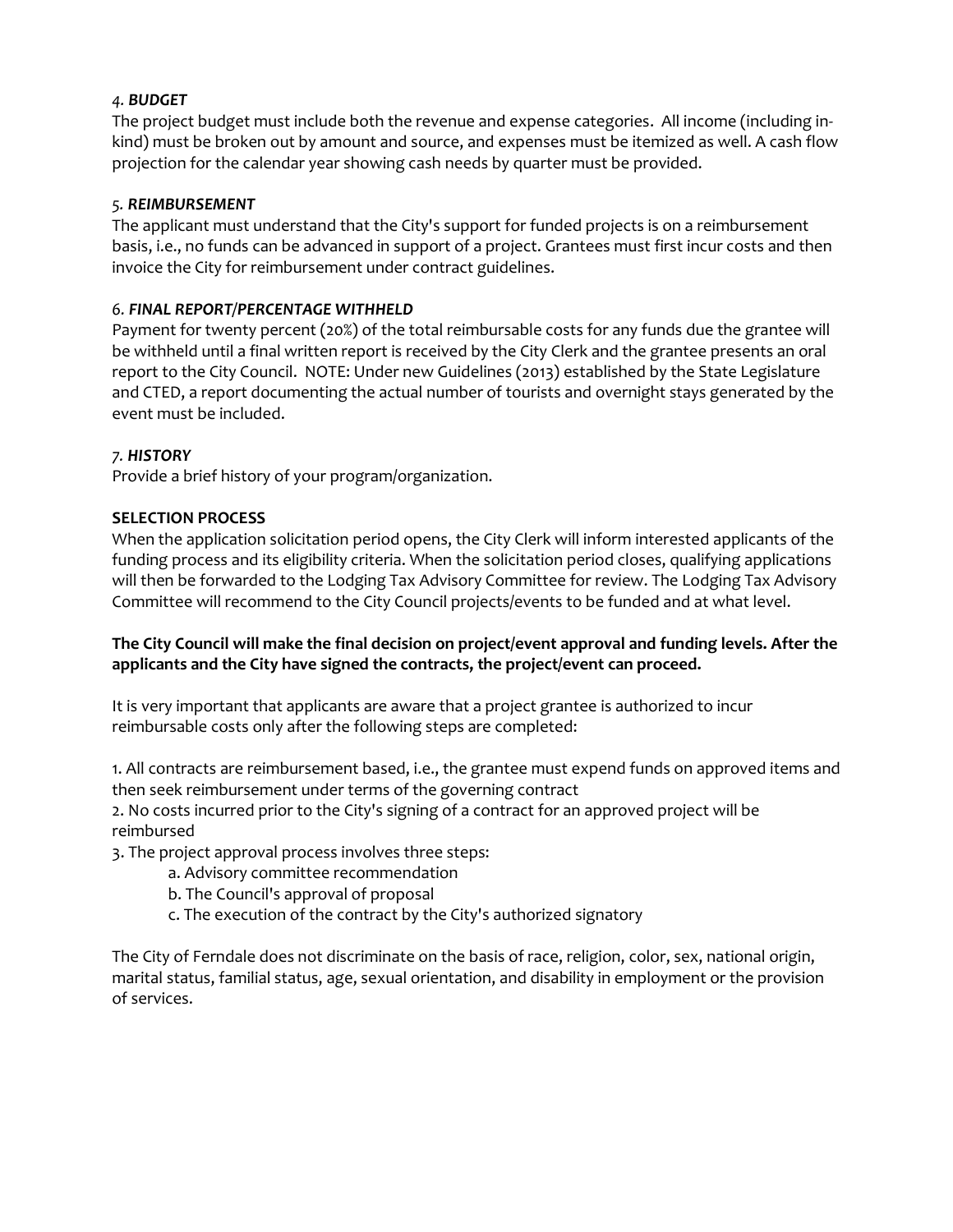# *4. BUDGET*

The project budget must include both the revenue and expense categories. All income (including inkind) must be broken out by amount and source, and expenses must be itemized as well. A cash flow projection for the calendar year showing cash needs by quarter must be provided.

# *5. REIMBURSEMENT*

The applicant must understand that the City's support for funded projects is on a reimbursement basis, i.e., no funds can be advanced in support of a project. Grantees must first incur costs and then invoice the City for reimbursement under contract guidelines.

# *6. FINAL REPORT/PERCENTAGE WITHHELD*

Payment for twenty percent (20%) of the total reimbursable costs for any funds due the grantee will be withheld until a final written report is received by the City Clerk and the grantee presents an oral report to the City Council. NOTE: Under new Guidelines (2013) established by the State Legislature and CTED, a report documenting the actual number of tourists and overnight stays generated by the event must be included.

### *7. HISTORY*

Provide a brief history of your program/organization.

### **SELECTION PROCESS**

When the application solicitation period opens, the City Clerk will inform interested applicants of the funding process and its eligibility criteria. When the solicitation period closes, qualifying applications will then be forwarded to the Lodging Tax Advisory Committee for review. The Lodging Tax Advisory Committee will recommend to the City Council projects/events to be funded and at what level.

# **The City Council will make the final decision on project/event approval and funding levels. After the applicants and the City have signed the contracts, the project/event can proceed.**

It is very important that applicants are aware that a project grantee is authorized to incur reimbursable costs only after the following steps are completed:

1. All contracts are reimbursement based, i.e., the grantee must expend funds on approved items and then seek reimbursement under terms of the governing contract

2. No costs incurred prior to the City's signing of a contract for an approved project will be reimbursed

3. The project approval process involves three steps:

- a. Advisory committee recommendation
- b. The Council's approval of proposal
- c. The execution of the contract by the City's authorized signatory

The City of Ferndale does not discriminate on the basis of race, religion, color, sex, national origin, marital status, familial status, age, sexual orientation, and disability in employment or the provision of services.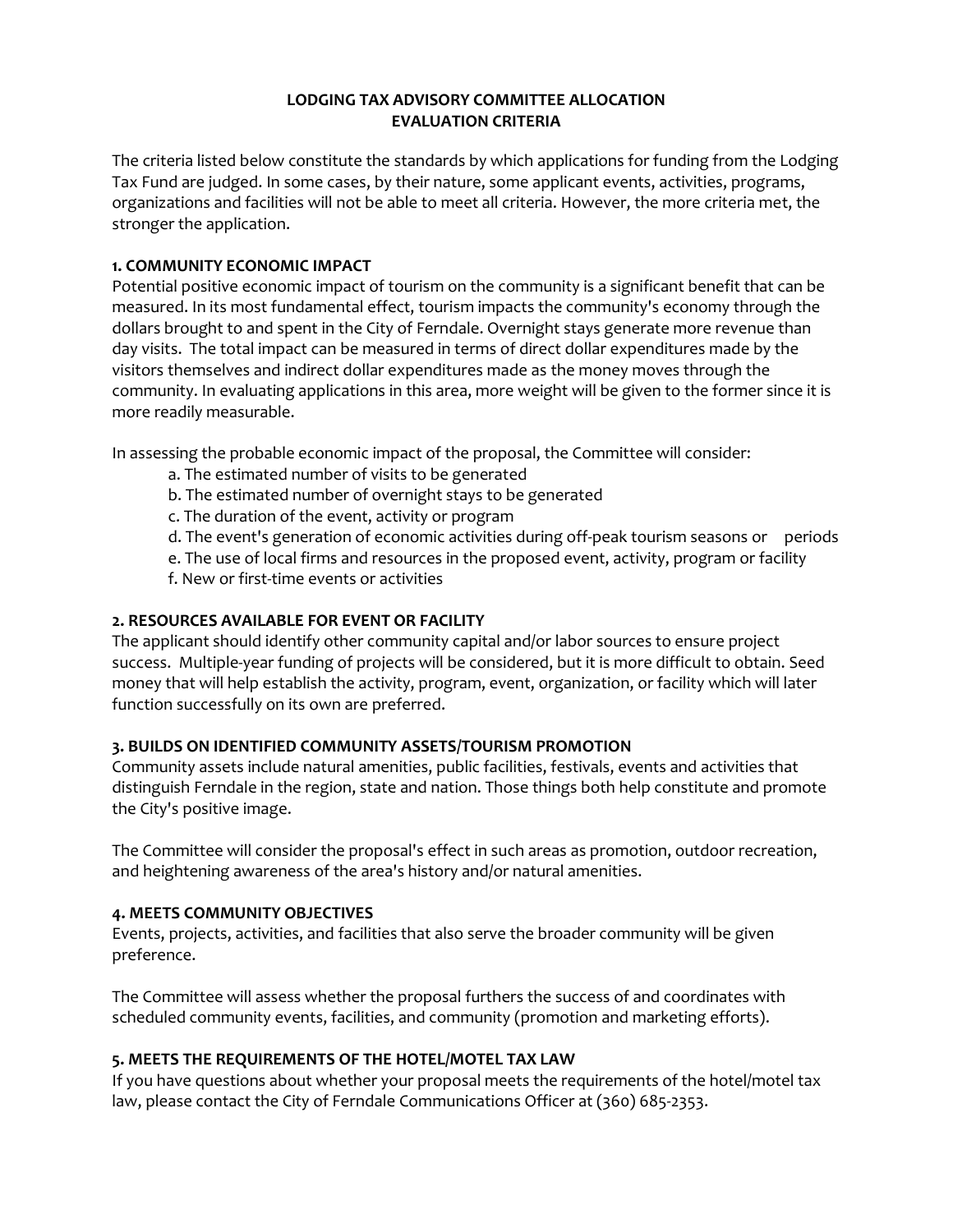### **LODGING TAX ADVISORY COMMITTEE ALLOCATION EVALUATION CRITERIA**

The criteria listed below constitute the standards by which applications for funding from the Lodging Tax Fund are judged. In some cases, by their nature, some applicant events, activities, programs, organizations and facilities will not be able to meet all criteria. However, the more criteria met, the stronger the application.

# **1. COMMUNITY ECONOMIC IMPACT**

Potential positive economic impact of tourism on the community is a significant benefit that can be measured. In its most fundamental effect, tourism impacts the community's economy through the dollars brought to and spent in the City of Ferndale. Overnight stays generate more revenue than day visits. The total impact can be measured in terms of direct dollar expenditures made by the visitors themselves and indirect dollar expenditures made as the money moves through the community. In evaluating applications in this area, more weight will be given to the former since it is more readily measurable.

In assessing the probable economic impact of the proposal, the Committee will consider:

- a. The estimated number of visits to be generated
- b. The estimated number of overnight stays to be generated
- c. The duration of the event, activity or program
- d. The event's generation of economic activities during off-peak tourism seasons or periods
- e. The use of local firms and resources in the proposed event, activity, program or facility
- f. New or first-time events or activities

# **2. RESOURCES AVAILABLE FOR EVENT OR FACILITY**

The applicant should identify other community capital and/or labor sources to ensure project success. Multiple-year funding of projects will be considered, but it is more difficult to obtain. Seed money that will help establish the activity, program, event, organization, or facility which will later function successfully on its own are preferred.

# **3. BUILDS ON IDENTIFIED COMMUNITY ASSETS/TOURISM PROMOTION**

Community assets include natural amenities, public facilities, festivals, events and activities that distinguish Ferndale in the region, state and nation. Those things both help constitute and promote the City's positive image.

The Committee will consider the proposal's effect in such areas as promotion, outdoor recreation, and heightening awareness of the area's history and/or natural amenities.

### **4. MEETS COMMUNITY OBJECTIVES**

Events, projects, activities, and facilities that also serve the broader community will be given preference.

The Committee will assess whether the proposal furthers the success of and coordinates with scheduled community events, facilities, and community (promotion and marketing efforts).

# **5. MEETS THE REQUIREMENTS OF THE HOTEL/MOTEL TAX LAW**

If you have questions about whether your proposal meets the requirements of the hotel/motel tax law, please contact the City of Ferndale Communications Officer at (360) 685-2353.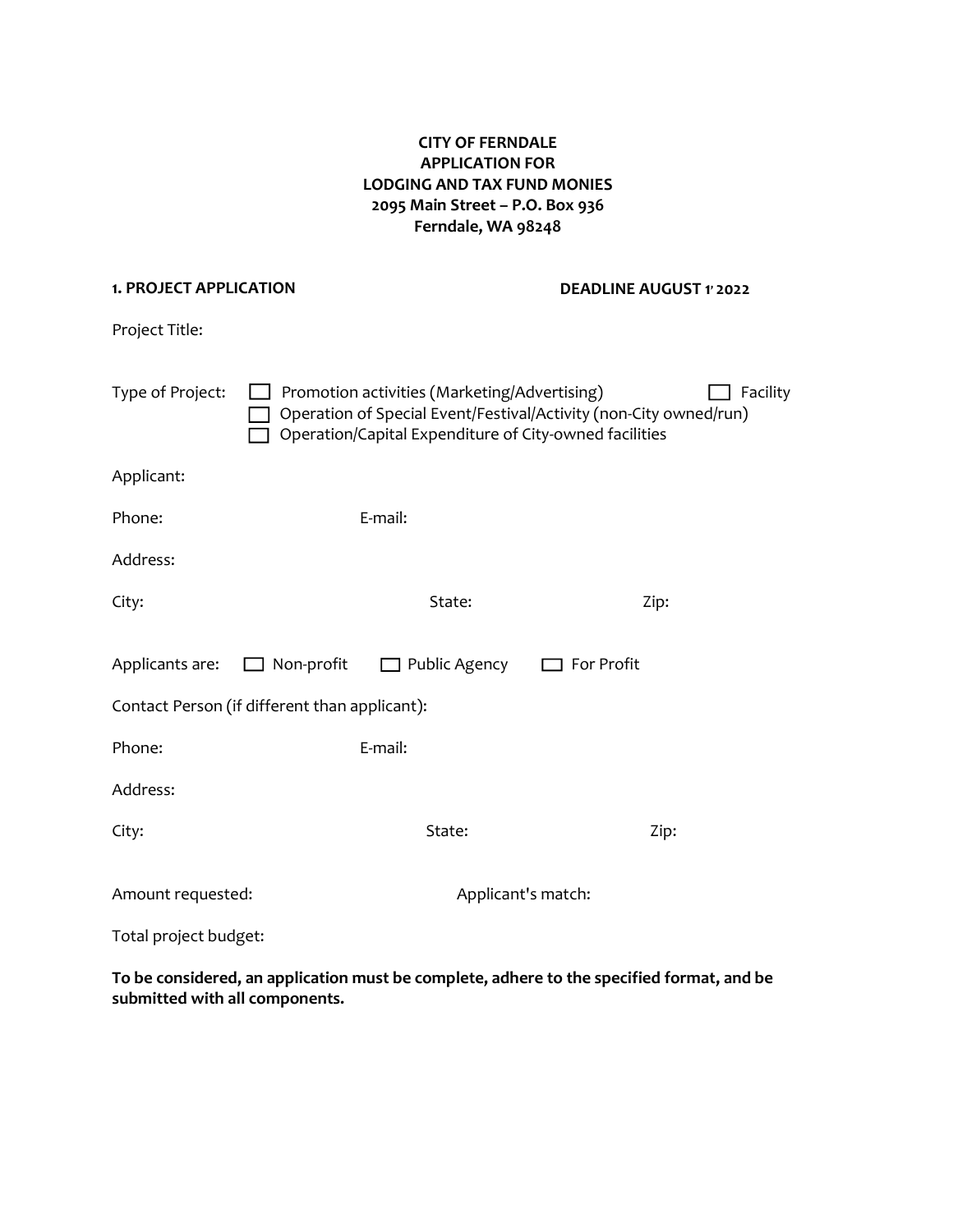# **CITY OF FERNDALE APPLICATION FOR LODGING AND TAX FUND MONIES 2095 Main Street – P.O. Box 936 Ferndale, WA 98248**

#### **1. PROJECT APPLICATION**

**DEADLINE AUGUST 1, 2022**

Project Title:

| Type of Project:                              |  | Promotion activities (Marketing/Advertising)<br>Operation of Special Event/Festival/Activity (non-City owned/run)<br>Operation/Capital Expenditure of City-owned facilities |  | Facility |
|-----------------------------------------------|--|-----------------------------------------------------------------------------------------------------------------------------------------------------------------------------|--|----------|
| Applicant:                                    |  |                                                                                                                                                                             |  |          |
| Phone:                                        |  | E-mail:                                                                                                                                                                     |  |          |
| Address:                                      |  |                                                                                                                                                                             |  |          |
| City:                                         |  | State:                                                                                                                                                                      |  | Zip:     |
| Contact Person (if different than applicant): |  | Applicants are: $\Box$ Non-profit $\Box$ Public Agency $\Box$ For Profit                                                                                                    |  |          |
| Phone:                                        |  | E-mail:                                                                                                                                                                     |  |          |
| Address:                                      |  |                                                                                                                                                                             |  |          |
| City:                                         |  | State:                                                                                                                                                                      |  | Zip:     |
| Amount requested:                             |  | Applicant's match:                                                                                                                                                          |  |          |
| Total project budget:                         |  |                                                                                                                                                                             |  |          |

**To be considered, an application must be complete, adhere to the specified format, and be submitted with all components.**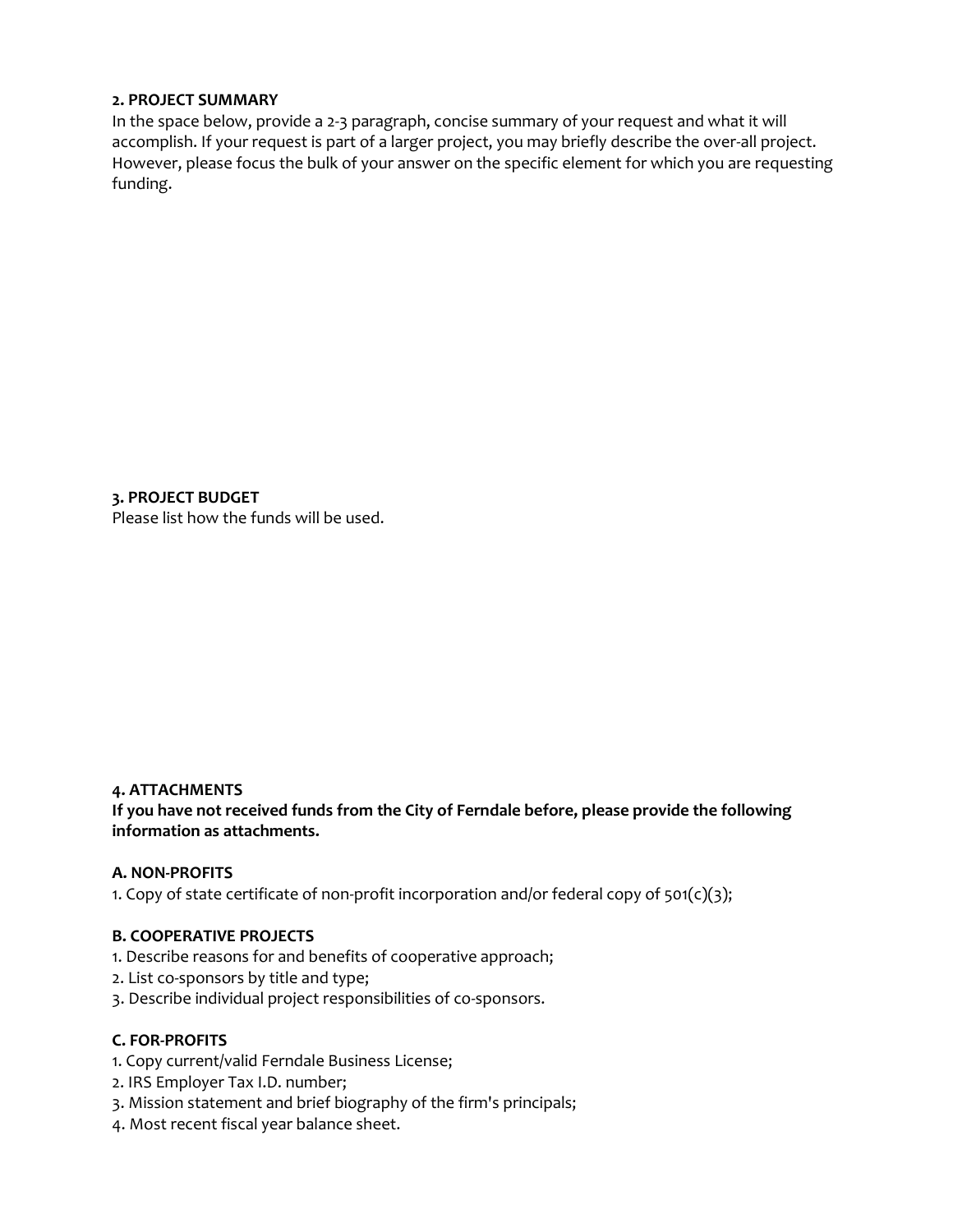### **2. PROJECT SUMMARY**

In the space below, provide a 2-3 paragraph, concise summary of your request and what it will accomplish. If your request is part of a larger project, you may briefly describe the over-all project. However, please focus the bulk of your answer on the specific element for which you are requesting funding.

**3. PROJECT BUDGET** Please list how the funds will be used.

### **4. ATTACHMENTS**

**If you have not received funds from the City of Ferndale before, please provide the following information as attachments.**

### **A. NON-PROFITS**

1. Copy of state certificate of non-profit incorporation and/or federal copy of  $501(c)(3)$ ;

### **B. COOPERATIVE PROJECTS**

- 1. Describe reasons for and benefits of cooperative approach;
- 2. List co-sponsors by title and type;
- 3. Describe individual project responsibilities of co-sponsors.

### **C. FOR-PROFITS**

- 1. Copy current/valid Ferndale Business License;
- 2. IRS Employer Tax I.D. number;
- 3. Mission statement and brief biography of the firm's principals;
- 4. Most recent fiscal year balance sheet.